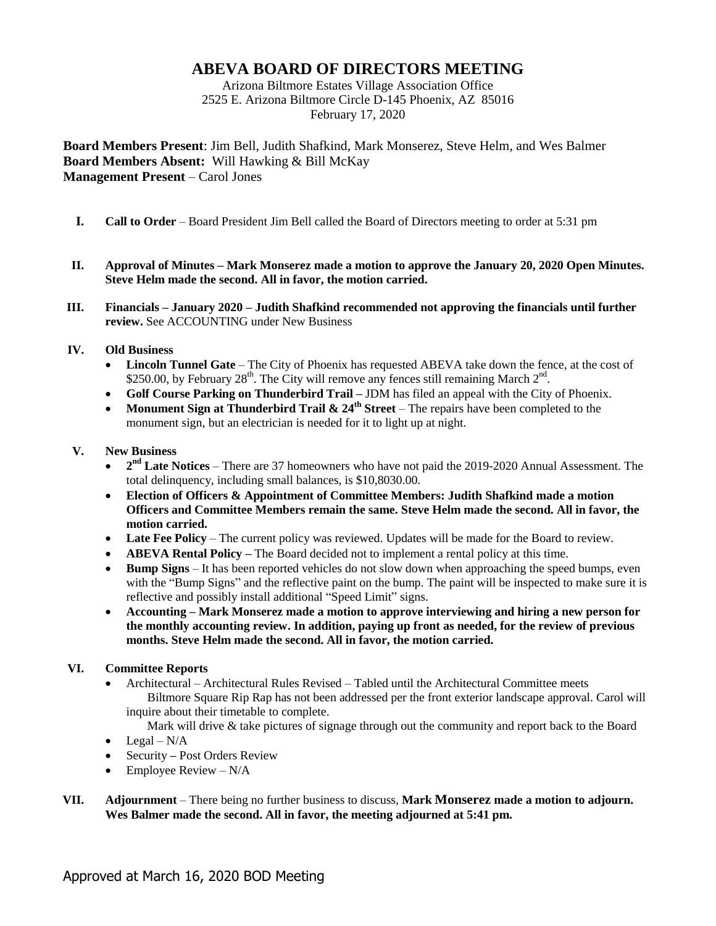## **ABEVA BOARD OF DIRECTORS MEETING**

Arizona Biltmore Estates Village Association Office 2525 E. Arizona Biltmore Circle D-145 Phoenix, AZ 85016 February 17, 2020

**Board Members Present**: Jim Bell, Judith Shafkind, Mark Monserez, Steve Helm, and Wes Balmer **Board Members Absent:** Will Hawking & Bill McKay **Management Present** – Carol Jones

- **I. Call to Order** Board President Jim Bell called the Board of Directors meeting to order at 5:31 pm
- **II. Approval of Minutes – Mark Monserez made a motion to approve the January 20, 2020 Open Minutes. Steve Helm made the second. All in favor, the motion carried.**
- **III. Financials – January 2020 – Judith Shafkind recommended not approving the financials until further review.** See ACCOUNTING under New Business

## **IV. Old Business**

- **Lincoln Tunnel Gate** The City of Phoenix has requested ABEVA take down the fence, at the cost of \$250.00, by February 28<sup>th</sup>. The City will remove any fences still remaining March  $2^{nd}$ .
- **Golf Course Parking on Thunderbird Trail –** JDM has filed an appeal with the City of Phoenix.
- Monument Sign at Thunderbird Trail  $\& 24^{\text{th}}$  Street The repairs have been completed to the monument sign, but an electrician is needed for it to light up at night.

## **V. New Business**

- 2<sup>nd</sup> Late Notices There are 37 homeowners who have not paid the 2019-2020 Annual Assessment. The total delinquency, including small balances, is \$10,8030.00.
- **Election of Officers & Appointment of Committee Members: Judith Shafkind made a motion Officers and Committee Members remain the same. Steve Helm made the second. All in favor, the motion carried.**
- **Late Fee Policy** The current policy was reviewed. Updates will be made for the Board to review.
- **ABEVA Rental Policy** The Board decided not to implement a rental policy at this time.
- **Bump Signs** It has been reported vehicles do not slow down when approaching the speed bumps, even with the "Bump Signs" and the reflective paint on the bump. The paint will be inspected to make sure it is reflective and possibly install additional "Speed Limit" signs.
- **Accounting – Mark Monserez made a motion to approve interviewing and hiring a new person for the monthly accounting review. In addition, paying up front as needed, for the review of previous months. Steve Helm made the second. All in favor, the motion carried.**

## **VI. Committee Reports**

 Architectural – Architectural Rules Revised – Tabled until the Architectural Committee meets Biltmore Square Rip Rap has not been addressed per the front exterior landscape approval. Carol will inquire about their timetable to complete.

Mark will drive & take pictures of signage through out the community and report back to the Board

- $\bullet$  Legal N/A
- Security Post Orders Review
- $\bullet$  Employee Review N/A
- **VII. Adjournment** There being no further business to discuss, **Mark Monserez made a motion to adjourn. Wes Balmer made the second. All in favor, the meeting adjourned at 5:41 pm.**